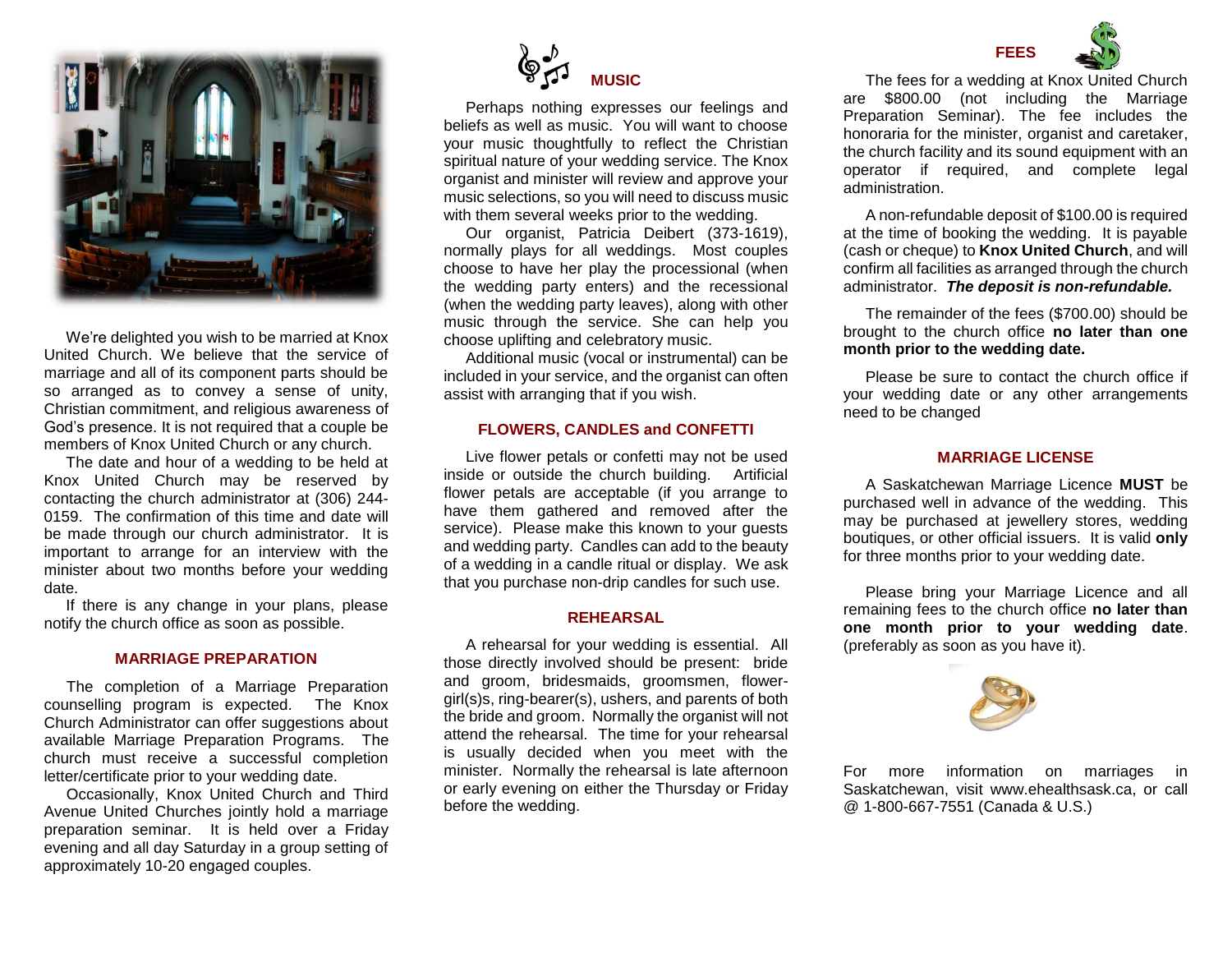

We're delighted you wish to be married at Knox United Church. We believe that the service of marriage and all of its component parts should be so arranged as to convey a sense of unity, Christian commitment, and religious awareness of God's presence. It is not required that a couple be members of Knox United Church or any church.

The date and hour of a wedding to be held at Knox United Church may be reserved by contacting the church administrator at (306) 244- 0159. The confirmation of this time and date will be made through our church administrator. It is important to arrange for an interview with the minister about two months before your wedding date.

If there is any change in your plans, please notify the church office as soon as possible.

#### **MARRIAGE PREPARATION**

The completion of a Marriage Preparation counselling program is expected. The Knox Church Administrator can offer suggestions about available Marriage Preparation Programs. The church must receive a successful completion letter/certificate prior to your wedding date.

Occasionally, Knox United Church and Third Avenue United Churches jointly hold a marriage preparation seminar. It is held over a Friday evening and all day Saturday in a group setting of approximately 10-20 engaged couples.



Perhaps nothing expresses our feelings and beliefs as well as music. You will want to choose your music thoughtfully to reflect the Christian spiritual nature of your wedding service. The Knox organist and minister will review and approve your music selections, so you will need to discuss music with them several weeks prior to the wedding.

Our organist, Patricia Deibert (373-1619), normally plays for all weddings. Most couples choose to have her play the processional (when the wedding party enters) and the recessional (when the wedding party leaves), along with other music through the service. She can help you choose uplifting and celebratory music.

Additional music (vocal or instrumental) can be included in your service, and the organist can often assist with arranging that if you wish.

#### **FLOWERS, CANDLES and CONFETTI**

Live flower petals or confetti may not be used inside or outside the church building. Artificial flower petals are acceptable (if you arrange to have them gathered and removed after the service). Please make this known to your guests and wedding party. Candles can add to the beauty of a wedding in a candle ritual or display. We ask that you purchase non-drip candles for such use.

### **REHEARSAL**

A rehearsal for your wedding is essential. All those directly involved should be present: bride and groom, bridesmaids, groomsmen, flowergirl(s)s, ring-bearer(s), ushers, and parents of both the bride and groom. Normally the organist will not attend the rehearsal. The time for your rehearsal is usually decided when you meet with the minister. Normally the rehearsal is late afternoon or early evening on either the Thursday or Friday before the wedding.



The fees for a wedding at Knox United Church are \$800.00 (not including the Marriage Preparation Seminar). The fee includes the honoraria for the minister, organist and caretaker, the church facility and its sound equipment with an operator if required, and complete legal administration.

A non-refundable deposit of \$100.00 is required at the time of booking the wedding. It is payable (cash or cheque) to **Knox United Church**, and will confirm all facilities as arranged through the church administrator. *The deposit is non-refundable.* 

The remainder of the fees (\$700.00) should be brought to the church office **no later than one month prior to the wedding date.**

Please be sure to contact the church office if your wedding date or any other arrangements need to be changed

#### **MARRIAGE LICENSE**

A Saskatchewan Marriage Licence **MUST** be purchased well in advance of the wedding. This may be purchased at jewellery stores, wedding boutiques, or other official issuers. It is valid **only** for three months prior to your wedding date.

Please bring your Marriage Licence and all remaining fees to the church office **no later than one month prior to your wedding date**. (preferably as soon as you have it).



For more information on marriages in Saskatchewan, visit www.ehealthsask.ca, or call @ 1-800-667-7551 (Canada & U.S.)